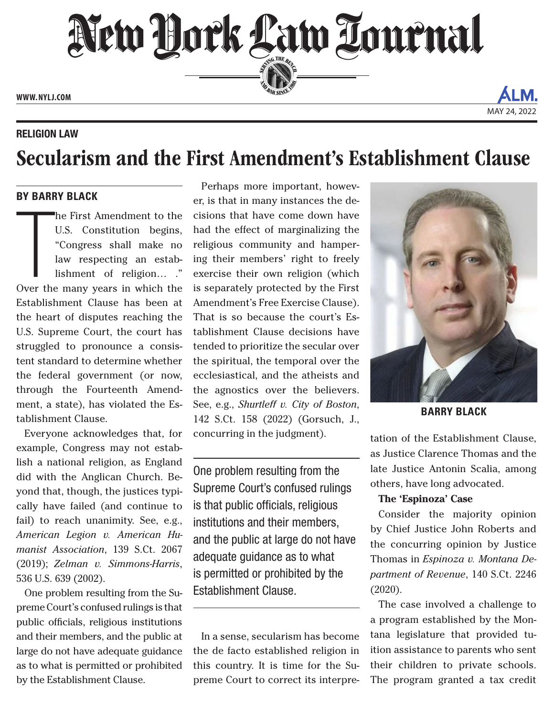New York Law Tournal **PERSONAL SINCE 1888 WWW. NYLJ.COM**

RELIGION LAW

# Secularism and the First Amendment's Establishment Clause

### **BY BARRY BLACK**

The First Amendment to the<br>U.S. Constitution begins,<br>"Congress shall make no<br>law respecting an estab-<br>lishment of religion...."<br>Over the many years in which the he First Amendment to the U.S. Constitution begins, "Congress shall make no law respecting an establishment of religion… ." Establishment Clause has been at the heart of disputes reaching the U.S. Supreme Court, the court has struggled to pronounce a consistent standard to determine whether the federal government (or now, through the Fourteenth Amendment, a state), has violated the Establishment Clause.

Everyone acknowledges that, for example, Congress may not establish a national religion, as England did with the Anglican Church. Beyond that, though, the justices typically have failed (and continue to fail) to reach unanimity. See, e.g., *American Legion v. American Humanist Association*, 139 S.Ct. 2067 (2019); *Zelman v. Simmons-Harris*, 536 U.S. 639 (2002).

One problem resulting from the Supreme Court's confused rulings is that public officials, religious institutions and their members, and the public at large do not have adequate guidance as to what is permitted or prohibited by the Establishment Clause.

Perhaps more important, however, is that in many instances the decisions that have come down have had the effect of marginalizing the religious community and hampering their members' right to freely exercise their own religion (which is separately protected by the First Amendment's Free Exercise Clause). That is so because the court's Establishment Clause decisions have tended to prioritize the secular over the spiritual, the temporal over the ecclesiastical, and the atheists and the agnostics over the believers. See, e.g., *Shurtleff v. City of Boston*, 142 S.Ct. 158 (2022) (Gorsuch, J., concurring in the judgment).

One problem resulting from the Supreme Court's confused rulings is that public officials, religious institutions and their members, and the public at large do not have adequate guidance as to what is permitted or prohibited by the Establishment Clause.

In a sense, secularism has become the de facto established religion in this country. It is time for the Supreme Court to correct its interpre-



MAY 24, 202

**BARRY BLACK**

tation of the Establishment Clause, as Justice Clarence Thomas and the late Justice Antonin Scalia, among others, have long advocated.

### **The 'Espinoza' Case**

Consider the majority opinion by Chief Justice John Roberts and the concurring opinion by Justice Thomas in *Espinoza v. Montana Department of Revenue*, 140 S.Ct. 2246 (2020).

The case involved a challenge to a program established by the Montana legislature that provided tuition assistance to parents who sent their children to private schools. The program granted a tax credit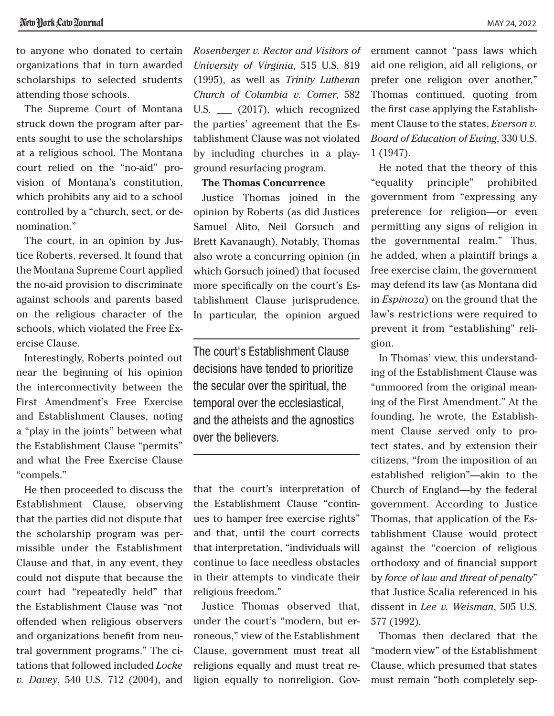to anyone who donated to certain organizations that in turn awarded scholarships to selected students attending those schools.

The Supreme Court of Montana struck down the program after parents sought to use the scholarships at a religious school. The Montana court relied on the "no-aid" provision of Montana's constitution, which prohibits any aid to a school controlled by a "church, sect, or denomination."

The court, in an opinion by Justice Roberts, reversed. It found that the Montana Supreme Court applied the no-aid provision to discriminate against schools and parents based on the religious character of the schools, which violated the Free Exercise Clause.

Interestingly, Roberts pointed out near the beginning of his opinion the interconnectivity between the First Amendment's Free Exercise and Establishment Clauses, noting a "play in the joints" between what the Establishment Clause "permits" and what the Free Exercise Clause "compels."

He then proceeded to discuss the Establishment Clause, observing that the parties did not dispute that the scholarship program was permissible under the Establishment Clause and that, in any event, they could not dispute that because the court had "repeatedly held" that the Establishment Clause was "not offended when religious observers and organizations benefit from neutral government programs." The citations that followed included *Locke v. Davey*, 540 U.S. 712 (2004), and *Rosenberger v. Rector and Visitors of University of Virginia*, 515 U.S. 819 (1995), as well as *Trinity Lutheran Church of Columbia v. Comer*, 582 U.S. \_\_\_ (2017), which recognized the parties' agreement that the Establishment Clause was not violated by including churches in a playground resurfacing program.

### **The Thomas Concurrence**

Justice Thomas joined in the opinion by Roberts (as did Justices Samuel Alito, Neil Gorsuch and Brett Kavanaugh). Notably, Thomas also wrote a concurring opinion (in which Gorsuch joined) that focused more specifically on the court's Establishment Clause jurisprudence. In particular, the opinion argued

The court's Establishment Clause decisions have tended to prioritize the secular over the spiritual, the temporal over the ecclesiastical, and the atheists and the agnostics over the believers.

that the court's interpretation of the Establishment Clause "continues to hamper free exercise rights" and that, until the court corrects that interpretation, "individuals will continue to face needless obstacles in their attempts to vindicate their religious freedom."

Justice Thomas observed that, under the court's "modern, but erroneous," view of the Establishment Clause, government must treat all religions equally and must treat religion equally to nonreligion. Government cannot "pass laws which aid one religion, aid all religions, or prefer one religion over another," Thomas continued, quoting from the first case applying the Establishment Clause to the states, *Everson v. Board of Education of Ewing*, 330 U.S. 1 (1947).

He noted that the theory of this "equality principle" prohibited government from "expressing any preference for religion—or even permitting any signs of religion in the governmental realm." Thus, he added, when a plaintiff brings a free exercise claim, the government may defend its law (as Montana did in *Espinoza*) on the ground that the law's restrictions were required to prevent it from "establishing" religion.

In Thomas' view, this understanding of the Establishment Clause was "unmoored from the original meaning of the First Amendment." At the founding, he wrote, the Establishment Clause served only to protect states, and by extension their citizens, "from the imposition of an established religion"—akin to the Church of England—by the federal government. According to Justice Thomas, that application of the Establishment Clause would protect against the "coercion of religious orthodoxy and of financial support by *force of law and threat of penalty*" that Justice Scalia referenced in his dissent in *Lee v. Weisman*, 505 U.S. 577 (1992).

Thomas then declared that the "modern view" of the Establishment Clause, which presumed that states must remain "both completely sep